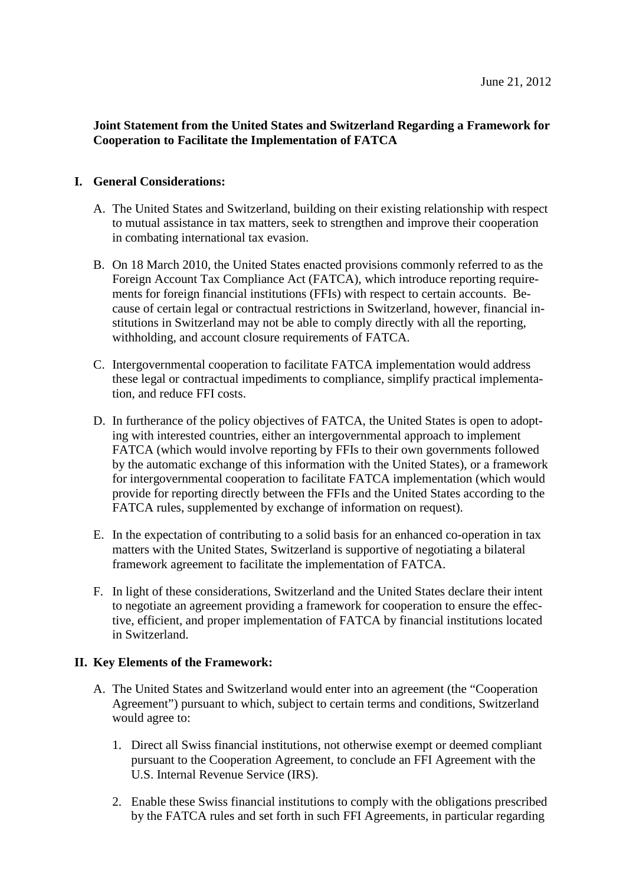## **Joint Statement from the United States and Switzerland Regarding a Framework for Cooperation to Facilitate the Implementation of FATCA**

## **I. General Considerations:**

- A. The United States and Switzerland, building on their existing relationship with respect to mutual assistance in tax matters, seek to strengthen and improve their cooperation in combating international tax evasion.
- B. On 18 March 2010, the United States enacted provisions commonly referred to as the Foreign Account Tax Compliance Act (FATCA), which introduce reporting requirements for foreign financial institutions (FFIs) with respect to certain accounts. Because of certain legal or contractual restrictions in Switzerland, however, financial institutions in Switzerland may not be able to comply directly with all the reporting, withholding, and account closure requirements of FATCA.
- C. Intergovernmental cooperation to facilitate FATCA implementation would address these legal or contractual impediments to compliance, simplify practical implementation, and reduce FFI costs.
- D. In furtherance of the policy objectives of FATCA, the United States is open to adopting with interested countries, either an intergovernmental approach to implement FATCA (which would involve reporting by FFIs to their own governments followed by the automatic exchange of this information with the United States), or a framework for intergovernmental cooperation to facilitate FATCA implementation (which would provide for reporting directly between the FFIs and the United States according to the FATCA rules, supplemented by exchange of information on request).
- E. In the expectation of contributing to a solid basis for an enhanced co-operation in tax matters with the United States, Switzerland is supportive of negotiating a bilateral framework agreement to facilitate the implementation of FATCA.
- F. In light of these considerations, Switzerland and the United States declare their intent to negotiate an agreement providing a framework for cooperation to ensure the effective, efficient, and proper implementation of FATCA by financial institutions located in Switzerland.

## **II. Key Elements of the Framework:**

- A. The United States and Switzerland would enter into an agreement (the "Cooperation Agreement") pursuant to which, subject to certain terms and conditions, Switzerland would agree to:
	- 1. Direct all Swiss financial institutions, not otherwise exempt or deemed compliant pursuant to the Cooperation Agreement, to conclude an FFI Agreement with the U.S. Internal Revenue Service (IRS).
	- 2. Enable these Swiss financial institutions to comply with the obligations prescribed by the FATCA rules and set forth in such FFI Agreements, in particular regarding